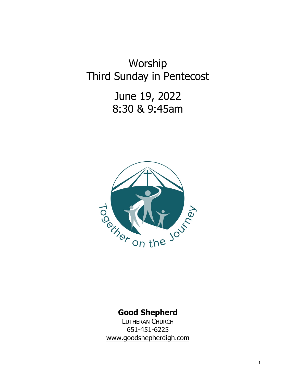Worship Third Sunday in Pentecost

> June 19, 2022 8:30 & 9:45am



# **Good Shepherd**

LUTHERAN CHURCH 651-451-6225 www.goodshepherdigh.com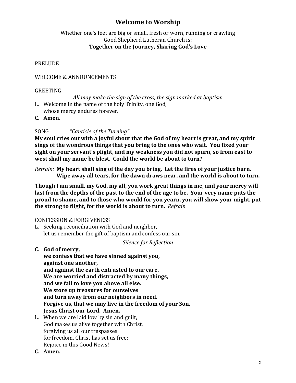# **Welcome to Worship**

# Whether one's feet are big or small, fresh or worn, running or crawling Good Shepherd Lutheran Church is: Together on the Journey, Sharing God's Love

### **PRELUDE**

## WELCOME & ANNOUNCEMENTS

#### GREETING

All may make the sign of the cross, the sign marked at baptism

- L. Welcome in the name of the holy Trinity, one God, whose mercy endures forever.
- **C. Amen.**

## SONG *"Canticle of the Turning"*

My soul cries out with a joyful shout that the God of my heart is great, and my spirit sings of the wondrous things that you bring to the ones who wait. You fixed your sight on your servant's plight, and my weakness you did not spurn, so from east to west shall my name be blest. Could the world be about to turn?

*Refrain:* My heart shall sing of the day you bring. Let the fires of your justice burn. **Wipe away all tears, for the dawn draws near, and the world is about to turn.** 

Though I am small, my God, my all, you work great things in me, and your mercy will last from the depths of the past to the end of the age to be. Your very name puts the **proud to shame, and to those who would for you yearn, you will show your might, put the strong to flight, for the world is about to turn.** Refrain

## CONFESSION & FORGIVENESS

L. Seeking reconciliation with God and neighbor, let us remember the gift of baptism and confess our sin.

*Silence for Reflection*

**C. God of mercy,** 

we confess that we have sinned against you, against one another, and against the earth entrusted to our care. We are worried and distracted by many things, and we fail to love you above all else. **We store up treasures for ourselves** and turn away from our neighbors in need. Forgive us, that we may live in the freedom of your Son, **Jesus Christ our Lord. Amen.** 

- L. When we are laid low by sin and guilt, God makes us alive together with Christ, forgiving us all our trespasses for freedom, Christ has set us free: Rejoice in this Good News!
- **C. Amen.**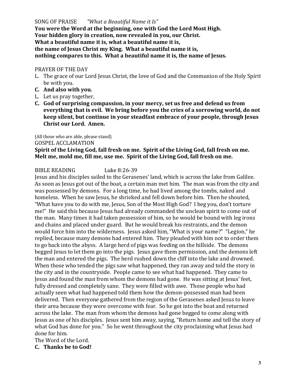SONG OF PRAISE *"What a Beautiful Name it Is"* You were the Word at the beginning, one with God the Lord Most High. **Your hidden glory in creation, now revealed in you, our Christ.** What a beautiful name it is, what a beautiful name it is, the name of Jesus Christ my King. What a beautiful name it is, **nothing compares to this. What a beautiful name it is, the name of Jesus.** 

#### PRAYER OF THE DAY

- L. The grace of our Lord Jesus Christ, the love of God and the Communion of the Holy Spirit be with you.
- **C. And also with you.**
- L. Let us pray together,
- **C.** God of surprising compassion, in your mercy, set us free and defend us from everything that is evil. We bring before you the cries of a sorrowing world, do not **keep silent, but continue in your steadfast embrace of your people, through Jesus Christ our Lord. Amen.**

(All those who are able, please stand)

#### GOSPEL ACCLAMATION

## Spirit of the Living God, fall fresh on me. Spirit of the Living God, fall fresh on me. Melt me, mold me, fill me, use me. Spirit of the Living God, fall fresh on me.

#### BIBLE READING Luke 8:26-39

Jesus and his disciples sailed to the Gerasenes' land, which is across the lake from Galilee. As soon as Jesus got out of the boat, a certain man met him. The man was from the city and was possessed by demons. For a long time, he had lived among the tombs, naked and homeless. When he saw Jesus, he shrieked and fell down before him. Then he shouted, "What have you to do with me, Jesus, Son of the Most High God? I beg you, don't torture me!" He said this because Jesus had already commanded the unclean spirit to come out of the man. Many times it had taken possession of him, so he would be bound with leg irons and chains and placed under guard. But he would break his restraints, and the demon would force him into the wilderness. Jesus asked him, "What is your name?" "Legion," he replied, because many demons had entered him. They pleaded with him not to order them to go back into the abyss. A large herd of pigs was feeding on the hillside. The demons begged Jesus to let them go into the pigs. Jesus gave them permission, and the demons left the man and entered the pigs. The herd rushed down the cliff into the lake and drowned. When those who tended the pigs saw what happened, they ran away and told the story in the city and in the countryside. People came to see what had happened. They came to Jesus and found the man from whom the demons had gone. He was sitting at Jesus' feet, fully dressed and completely sane. They were filled with awe. Those people who had actually seen what had happened told them how the demon-possessed man had been delivered. Then everyone gathered from the region of the Gerasenes asked Jesus to leave their area because they were overcome with fear. So he got into the boat and returned across the lake. The man from whom the demons had gone begged to come along with Jesus as one of his disciples. Jesus sent him away, saying, "Return home and tell the story of what God has done for you." So he went throughout the city proclaiming what Jesus had done for him.

The Word of the Lord.

**C. Thanks be to God!**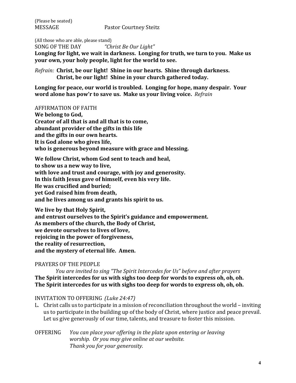(Please be seated)

MESSAGE Pastor Courtney Steitz

(All those who are able, please stand) SONG OF THE DAY *"Christ Be Our Light"* 

Longing for light, we wait in darkness. Longing for truth, we turn to you. Make us your own, your holy people, light for the world to see.

*Refrain:* Christ, be our light! Shine in our hearts. Shine through darkness. Christ, be our light! Shine in your church gathered today.

Longing for peace, our world is troubled. Longing for hope, many despair. Your **word alone has pow'r to save us. Make us your living voice.** Refrain

#### AFFIRMATION OF FAITH

We belong to God, Creator of all that is and all that is to come, abundant provider of the gifts in this life and the gifts in our own hearts. It is God alone who gives life, who is generous beyond measure with grace and blessing.

We follow Christ, whom God sent to teach and heal, to show us a new way to live, with love and trust and courage, with joy and generosity. In this faith Jesus gave of himself, even his very life. **He was crucified and buried; yet God raised him from death,** and he lives among us and grants his spirit to us.

We live by that Holy Spirit, and entrust ourselves to the Spirit's guidance and empowerment. As members of the church, the Body of Christ, **we devote ourselves to lives of love,** rejoicing in the power of forgiveness, the reality of resurrection, and the mystery of eternal life. Amen.

## PRAYERS OF THE PEOPLE

*You are invited to sing "The Spirit Intercedes for Us" before and after prayers* The Spirit intercedes for us with sighs too deep for words to express oh, oh, oh. The Spirit intercedes for us with sighs too deep for words to express oh, oh, oh.

INVITATION TO OFFERING *(Luke 24:47)*

L. Christ calls us to participate in a mission of reconciliation throughout the world – inviting us to participate in the building up of the body of Christ, where justice and peace prevail. Let us give generously of our time, talents, and treasure to foster this mission.

OFFERING You can place your offering in the plate upon entering or leaving *worship.* Or you may give online at our website. *Thank you for your generosity.*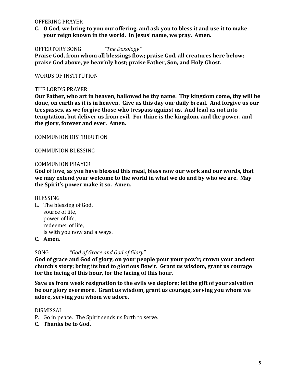#### OFFERING PRAYER

**C.** O God, we bring to you our offering, and ask you to bless it and use it to make **your reign known in the world. In Jesus' name, we pray. Amen.** 

OFFERTORY SONG *"The Doxology"* Praise God, from whom all blessings flow; praise God, all creatures here below; praise God above, ye heav'nly host; praise Father, Son, and Holy Ghost.

#### WORDS OF INSTITUTION

#### THE LORD'S PRAYER

Our Father, who art in heaven, hallowed be thy name. Thy kingdom come, thy will be done, on earth as it is in heaven. Give us this day our daily bread. And forgive us our trespasses, as we forgive those who trespass against us. And lead us not into **temptation, but deliver us from evil. For thine is the kingdom, and the power, and** the glory, forever and ever. Amen.

COMMUNION DISTRIBUTION

COMMUNION BLESSING

#### COMMUNION PRAYER

God of love, as you have blessed this meal, bless now our work and our words, that we may extend your welcome to the world in what we do and by who we are. May the Spirit's power make it so. Amen.

#### BLESSING

- L. The blessing of God, source of life, power of life, redeemer of life, is with you now and always.
- **C. Amen.**

SONG "God of Grace and God of Glory"

God of grace and God of glory, on your people pour your pow'r; crown your ancient church's story; bring its bud to glorious flow'r. Grant us wisdom, grant us courage for the facing of this hour, for the facing of this hour.

Save us from weak resignation to the evils we deplore; let the gift of your salvation be our glory evermore. Grant us wisdom, grant us courage, serving you whom we adore, serving you whom we adore.

#### DISMISSAL

- P. Go in peace. The Spirit sends us forth to serve.
- **C. Thanks be to God.**